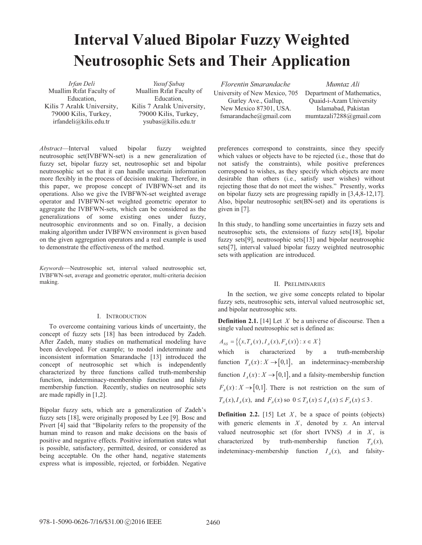# **Interval Valued Bipolar Fuzzy Weighted Neutrosophic Sets and Their Application**

*Irfan Deli*  Muallim Rifat Faculty of Education, Kilis 7 Aralık University, 79000 Kilis, Turkey, irfandeli@kilis.edu.tr

*Yusuf ùubaú* Muallim Rifat Faculty of Education, Kilis 7 Aralık University, 79000 Kilis, Turkey, ysubas@kilis.edu.tr

*Abstract*—Interval valued bipolar fuzzy weighted neutrosophic set(IVBFWN-set) is a new generalization of fuzzy set, bipolar fuzzy set, neutrosophic set and bipolar neutrosophic set so that it can handle uncertain information more flexibly in the process of decision making. Therefore, in this paper, we propose concept of IVBFWN-set and its operations. Also we give the IVBFWN-set weighted average operator and IVBFWN-set weighted geometric operator to aggregate the IVBFWN-sets, which can be considered as the generalizations of some existing ones under fuzzy, neutrosophic environments and so on. Finally, a decision making algorithm under IVBFWN environment is given based on the given aggregation operators and a real example is used to demonstrate the effectiveness of the method.

*Keywords*—Neutrosophic set, interval valued neutrosophic set, IVBFWN-set, average and geometric operator, multi-criteria decision making.

#### I. INTRODUCTION

To overcome containing various kinds of uncertainty, the concept of fuzzy sets [18] has been introduced by Zadeh. After Zadeh, many studies on mathematical modeling have been developed. For example; to model indeterminate and inconsistent information Smarandache [13] introduced the concept of neutrosophic set which is independently characterized by three functions called truth-membership function, indeterminacy-membership function and falsity membership function. Recently, studies on neutrosophic sets are made rapidly in [1,2].

Bipolar fuzzy sets, which are a generalization of Zadeh's fuzzy sets [18], were originally proposed by Lee [9]. Bosc and Pivert [4] said that "Bipolarity refers to the propensity of the human mind to reason and make decisions on the basis of positive and negative effects. Positive information states what is possible, satisfactory, permitted, desired, or considered as being acceptable. On the other hand, negative statements express what is impossible, rejected, or forbidden. Negative

*Florentin Smarandache*  University of New Mexico, 705 Gurley Ave., Gallup, New Mexico 87301, USA. fsmarandache@gmail.com

*Mumtaz Ali* Department of Mathematics, Quaid-i-Azam University Islamabad, Pakistan mumtazali7288@gmail.com

preferences correspond to constraints, since they specify which values or objects have to be rejected (i.e., those that do not satisfy the constraints), while positive preferences correspond to wishes, as they specify which objects are more desirable than others (i.e., satisfy user wishes) without rejecting those that do not meet the wishes." Presently, works on bipolar fuzzy sets are progressing rapidly in [3,4,8-12,17]. Also, bipolar neutrosophic set(BN-set) and its operations is given in [7].

In this study, to handling some uncertainties in fuzzy sets and neutrosophic sets, the extensions of fuzzy sets[18], bipolar fuzzy sets[9], neutrosophic sets[13] and bipolar neutrosophic sets[7], interval valued bipolar fuzzy weighted neutrosophic sets with application are introduced.

## II. PRELIMINARIES

In the section, we give some concepts related to bipolar fuzzy sets, neutrosophic sets, interval valued neutrosophic set, and bipolar neutrosophic sets.

**Definition 2.1.** [14] Let *X* be a universe of discourse. Then a single valued neutrosophic set is defined as:

$$
A_{NS} = \{ \langle x, T_A(x), I_A(x), F_A(x) \rangle : x \in X \}
$$

which is characterized by a truth-membership function  $T_A(x): X \to [0,1]$ , an indeterminacy-membership function  $I_A(x): X \to [0,1]$ , and a falsity-membership function  $F_{4}(x): X \rightarrow [0,1]$ . There is not restriction on the sum of  $T_A(x)$ ,  $T_A(x)$ , and  $F_A(x)$  so  $0 \le T_A(x) \le T_A(x) \le F_A(x) \le 3$ .

**Definition 2.2.** [15] Let  $X$ , be a space of points (objects) with generic elements in  $X$ , denoted by  $x$ . An interval valued neutrosophic set (for short IVNS)  $A$  in  $X$ , is characterized by truth-membership function  $T_a(x)$ , indeteminacy-membership function  $I<sub>A</sub>(x)$ , and falsity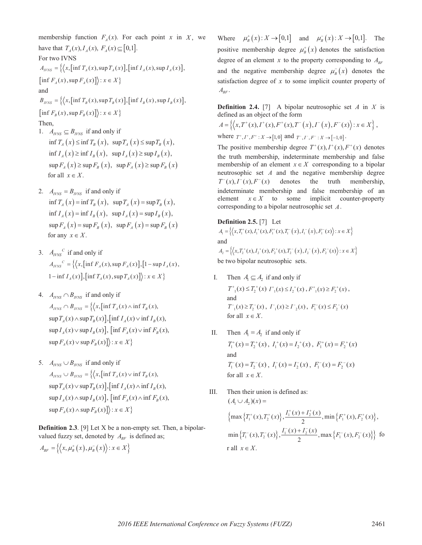membership function  $F_A(x)$ . For each point *x* in *X*, we have that  $T_A(x)$ ,  $I_A(x)$ ,  $F_A(x) \subseteq [0,1]$ . For two IVNS  $A_{IVNS} = \left\{ \left\langle x, \left[ \inf T_A(x), \sup T_A(x) \right], \left[ \inf T_A(x), \sup T_A(x) \right], \right\} \right\}$  $\left\{ \inf F_x(x), \sup F_x(x) \right\} : x \in X$ and  $B_{WNS} = \{ \langle x, \left[ \inf T_B(x), \sup T_B(x) \right], \left[ \inf T_B(x), \sup T_B(x) \right],$  $\left\{ \inf F_{B}(x), \sup F_{B}(x) \right\} : x \in X$ Then, 1.  $A_{IVNS} \subseteq B_{IVNS}$  if and only if  $\inf T_A(x) \leq \inf T_B(x)$ ,  $\sup T_A(x) \leq \sup T_B(x)$ ,  $\inf I_A(x) \geq \inf I_B(x)$ ,  $\sup I_A(x) \geq \sup I_B(x)$ ,

- $\sup F_A(x) \geq \sup F_B(x)$ ,  $\sup F_A(x) \geq \sup F_B(x)$ for all  $x \in X$ .
- 2.  $A_{IVNS} = B_{IVNS}$  if and only if  $\inf T_A(x) = \inf T_B(x)$ ,  $\sup T_A(x) = \sup T_B(x)$ ,  $\inf I_a(x) = \inf I_a(x)$ ,  $\sup I_a(x) = \sup I_a(x)$ ,  $\sup F_{\alpha}(x) = \sup F_{\alpha}(x)$ ,  $\sup F_{\alpha}(x) = \sup F_{\alpha}(x)$ for any  $x \in X$ .
- 3.  $A_{\text{IVNS}}^c$  if and only if  $A_{IVNS}^c = \left\{ \left( x, \left[ \inf F_A(x), \sup F_A(x) \right], \left[ 1 - \sup I_A(x) \right], \right. \right\}$  $1 - \inf I_A(x)$ ,  $\left[ \inf T_A(x), \sup T_A(x) \right]$ :  $x \in X$
- 4.  $A_{IVNS} \cap B_{IVNS}$  if and only if  $A_{IVNS} \cap B_{IVNS} = \left\{ \left\langle x, \left[ \inf T_A(x) \wedge \inf T_B(x) \right] \right\rangle \right\}$  $\sup T_A(x) \wedge \sup T_B(x)$ ,  $\int \inf I_A(x) \vee \inf I_B(x)$ ,  $\sup I_a(x) \vee \sup I_p(x)$ ,  $\left[ \inf F_a(x) \vee \inf F_p(x) \right]$ ,  $\sup F_A(x) \vee \sup F_B(x)$  :  $x \in X$  }
- 5.  $A_{IVNS} \cup B_{IVNS}$  if and only if  $A_{I\text{WNS}} \cup B_{I\text{WNS}} = \left\{ \left\langle x, \left[ \inf T_A(x) \vee \inf T_B(x) \right] \right\rangle \right\}$  $\sup T_A(x) \vee \sup T_B(x)$ ,  $\int \inf I_A(x) \wedge \inf I_B(x)$ ,  $\sup I_A(x) \wedge \sup I_B(x)$ ,  $\left[ \inf F_A(x) \wedge \inf F_B(x) \right]$  $\sup F_A(x) \wedge \sup F_B(x)$  :  $x \in X$  }

**Definition 2.3.** [9] Let X be a non-empty set. Then, a bipolarvalued fuzzy set, denoted by  $A_{BF}$  is defined as;

$$
A_{BF} = \left\{ \left\langle x, \mu_B^+ \left( x \right), \mu_B^- \left( x \right) \right\rangle : x \in X \right\}
$$

Where  $\mu_B^+(x): X \to [0,1]$  and  $\mu_B^-(x): X \to [0,1]$ . The positive membership degree  $\mu_n^+(x)$  denotes the satisfaction degree of an element *x* to the property corresponding to  $A_{BF}$ and the negative membership degree  $\mu_{B}^{-}(x)$  denotes the satisfaction degree of *x* to some implicit counter property of  $A_{BF}$ .

**Definition 2.4.** [7] A bipolar neutrosophic set *A* in *X* is defined as an object of the form

$$
A = \left\{ \left\langle x, T^+(x), I^+(x), F^+(x), T^-(x), I^-(x), F^-(x) \right\rangle : x \in X \right\},
$$
  
where  $T^*, I^*, F^*: X \to [1,0]$  and  $T^-, I^*, F^*: X \to [-1,0]$ .

The positive membership degree  $T^+(x)$ ,  $T^+(x)$ ,  $F^+(x)$  denotes the truth membership, indeterminate membership and false membership of an element  $x \in X$  corresponding to a bipolar neutrosophic set *A* and the negative membership degree  $T^-(x)$ ,  $T^-(x)$ ,  $F^-(x)$  denotes the truth membership, indeterminate membership and false membership of an element  $x \in X$  to some implicit counter-property corresponding to a bipolar neutrosophic set *A*.

**Definition 2.5.** [7] Let  
\n
$$
A_{i} = \{ \langle x, T_{i}^{+}(x), I_{i}^{+}(x), F_{i}^{+}(x), T_{i}^{-}(x), I_{i}^{-}(x), F_{i}^{-}(x) \rangle : x \in X \}
$$
\nand  
\n
$$
A_{2} = \{ \langle x, T_{2}^{+}(x), I_{2}^{+}(x), F_{2}^{+}(x), T_{2}^{-}(x), I_{2}^{-}(x), F_{2}^{-}(x) \rangle : x \in X \}
$$
\nbe two linear partogophic, set

be two bipolar neutrosophic sets.

I. Then  $A_1 \subseteq A_2$  if and only if

 $T_{-1}^{+}(x) \leq T_{2}^{+}(x) I_{-1}^{+}(x) \leq I_{2}^{+}(x)$ ,  $F_{-1}^{+}(x) \geq F_{2}^{+}(x)$ , and  $T^{-}(x) \geq T^{-}(x)$ ,  $I^{-}(x) \geq T^{-}(x)$ ,  $F^{-}(x) \leq F^{-}(x)$ for all  $x \in X$ .

- II. Then  $A_1 = A_2$  if and only if  $T_1^+(x) = T_2^+(x)$ ,  $I_1^+(x) = I_2^+(x)$ ,  $F_1^+(x) = F_2^+(x)$ and  $T_1^-(x) = T_2^-(x)$ ,  $T_1^-(x) = T_2^-(x)$ ,  $F_1^-(x) = F_2^-(x)$ for all  $x \in X$ .
- III. Then their union is defined as:  $(A_1 \cup A_2)(x) =$

$$
\{\max\left\{T_1^+(x), T_2^+(x)\right\}, \frac{I_1^+(x) + I_2^+(x)}{2}, \min\left\{F_1^+(x), F_2^+(x)\right\},\
$$

$$
\min\left\{T_1^-(x), T_2^-(x)\right\}, \frac{I_1^-(x) + I_2^-(x)}{2}, \max\left\{F_1^-(x), F_2^-(x)\right\}\} \text{ for all } x \in X.
$$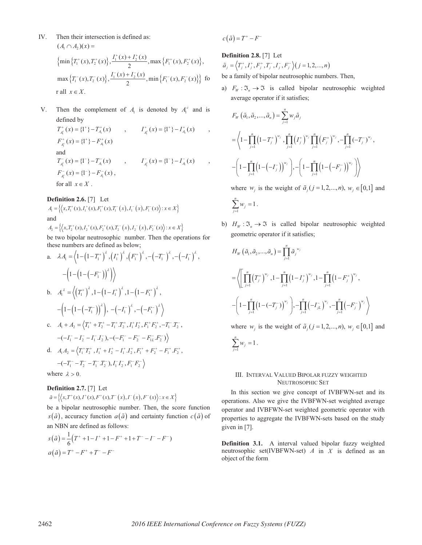- IV. Then their intersection is defined as:  $(A_1 \cap A_2)(x) =$  $\left\{ \min \left\{ T_1^+(x), T_2^+(x) \right\}, \frac{I_1^+(x) + I_2^+(x)}{2}, \max \left\{ F_1^+(x), F_2^+(x) \right\}, \right.$  $\max \left\{ T_1^-(x), T_2^-(x) \right\}, \frac{I_1^-(x) + I_2^-(x)}{2}, \min \left\{ F_1^-(x), F_2^-(x) \right\} \}$  fo r all  $x \in X$ .
- V. Then the complement of  $A_1$  is denoted by  $A_1^c$  and is defined by

 $T_{A_1^c}^+(x) = \{1^+\} - T_{A_1}^+(x)$ ,  $I_{A_1^c}^+(x) = \{1^+\} - I_{A_1}^+(x)$ ,  $F_{A_1^c}^+(x) = \{1^+\} - F_{A_1}^+(x)$ and  $T_{A_1^c}^-(x) = \{1^-\} - T_{A_1}^-(x)$ ,  $I_{A_1^c}^-(x) = \{1^-\} - I_{A_1}^-(x)$ ,  $F_{A_1^c}^-(x) = \{1^- \} - F_{A_1}^-(x)$ , for all  $x \in X$ .

## **Definition 2.6.** [7] Let

 $A_1 = \{ \langle x, T_1^+(x), I_1^+(x), F_1^+(x), T_1^-(x), I_1^-(x), F_1^-(x) \rangle : x \in X \}$ and

$$
A_2 = \left\{ \left\langle x, T_2^+(x), I_2^+(x), F_2^+(x), T_2^-(x), I_2^-(x), F_2^-(x) \right\rangle : x \in X \right\}
$$

be two bipolar neutrosophic number. Then the operations for these numbers are defined as below;

a. 
$$
\lambda A_1 = \left\langle 1 - \left(1 - T_1^+\right)^{\lambda}, \left(I_1^+\right)^{\lambda}, \left(F_1^+\right)^{\lambda}, -\left(-T_1^-\right)^{\lambda}, -\left(-I_1^-\right)^{\lambda}, -\left(1 - \left(1 - \left(-F_1^-\right)\right)^{\lambda}\right)\right\rangle
$$
  
\nb.  $A_1^{\lambda} = \left\langle \left(T_1^+\right)^{\lambda}, 1 - \left(1 - I_1^+\right)^{\lambda}, 1 - \left(1 - F_1^+\right)^{\lambda}, -\left(1 - \left(1 - \left(-T_1^-\right)\right)^{\lambda}\right), -\left(-I_1^-\right)^{\lambda}, -\left(-F_1^-\right)^{\lambda}\right\rangle$   
\nc.  $A_1 + A_2 = \left\langle T_1^+ + T_2^+ - T_1^+ \cdot T_2^+ \cdot T_1^+ T_2^+ \cdot F_1^+ F_2^+ \cdot - T_1^- \cdot T_2^- \cdot -\left(-I_1^- - I_2^- - I_1^- \cdot I_2^-\right), -\left(-F_1^- - F_2^- - F_{1L}^- \cdot F_2^-\right)\right\rangle$   
\nd.  $A_1 A_2 = \left\langle T_1^+ T_2^+ \cdot I_1^+ + I_2^+ - I_1^+ \cdot I_2^+ \cdot F_1^+ + F_2^+ - F_1^+ \cdot F_2^+ \cdot -\left(-T_1^- - T_2^- - T_1^- \cdot T_2^-\right), I_1^- I_2^- \cdot F_1^- F_2^-\right\rangle$ 

where  $\lambda > 0$ .

## **Definition 2.7.** [7] Let

$$
\tilde{a} = \left\{ \left\langle x, T^+(x), I^+(x), F^+(x), T^-(x), I^-(x), F^-(x) \right\rangle : x \in X \right\}
$$

be a bipolar neutrosophic number. Then, the score function  $s(\tilde{a})$ , accuracy function  $a(\tilde{a})$  and certainty function  $c(\tilde{a})$  of an NBN are defined as follows:

$$
s(\tilde{a}) = \frac{1}{6} (T^+ + 1 - I^+ + 1 - F^+ + 1 + T^- - I^- - F^-)
$$
  

$$
a(\tilde{a}) = T^+ - F^+ + T^- - F^-
$$

 $c(\tilde{a}) = T^* - F$ 

# **Definition 2.8.** [7] Let

 $\tilde{a}_{i} = \langle T_{i}^{+}, I_{i}^{+}, F_{i}^{+}, T_{i}^{-}, I_{i}^{-}, F_{i}^{-} \rangle (j = 1, 2, ..., n)$ 

- be a family of bipolar neutrosophic numbers. Then,
- a)  $F_W : \mathfrak{I}_n \to \mathfrak{I}$  is called bipolar neutrosophic weighted average operator if it satisfies;

$$
F_W(\tilde{a}_1, \tilde{a}_2, ..., \tilde{a}_n) = \sum_{j=1}^n w_j \tilde{a}_j
$$
  
=  $\left\langle 1 - \prod_{j=1}^n (1 - T_j^*)^{w_j}, \prod_{j=1}^n (I_j^*)^{w_j} \prod_{j=1}^n (F_j^*)^{w_j}, -\prod_{j=1}^n (-T_j^-)^{w_j}, \right\rangle$   
-  $\left(1 - \prod_{j=1}^n (1 - (-I_j^-))^{w_j}\right), -\left(1 - \prod_{j=1}^n (1 - (-F_j^-))^{w_j}\right)\right\rangle$ 

where  $w_i$  is the weight of  $\tilde{a}_i (j = 1, 2, \dots, n)$ ,  $w_i \in [0,1]$  and

$$
\sum_{j=1}^n w_j = 1.
$$

b)  $H_W : \mathfrak{I}_n \to \mathfrak{I}$  is called bipolar neutrosophic weighted geometric operator if it satisfies;

$$
H_{W} (\tilde{a}_{1}, \tilde{a}_{2},..., \tilde{a}_{n}) = \prod_{j=1}^{n} \tilde{a}_{j}^{w_{j}}
$$
  
=  $\left\langle \left[ \prod_{j=1}^{n} (T_{j}^{+})^{w_{j}}, 1 - \prod_{j=1}^{n} (1 - T_{j}^{+})^{w_{j}}, 1 - \prod_{j=1}^{n} (1 - F_{j}^{+})^{w_{j}}, \right. \right. \\ \left. - \left( 1 - \prod_{j=1}^{n} (1 - (-T_{j}^{-}))^{w_{j}} \right), - \prod_{j=1}^{n} (-T_{jL})^{w_{j}}, - \prod_{j=1}^{n} (-F_{j}^{-})^{w_{j}} \right\rangle$ 

where  $w_i$  is the weight of  $\tilde{a}_i (j = 1, 2, \ldots, n)$ ,  $w_i \in [0,1]$  and

$$
\sum_{j=1}^n w_j = 1.
$$

## III. INTERVAL VALUED BIPOLAR FUZZY WEIGHTED NEUTROSOPHIC SET

In this section we give concept of IVBFWN-set and its operations. Also we give the IVBFWN-set weighted average operator and IVBFWN-set weighted geometric operator with properties to aggregate the IVBFWN-sets based on the study given in [7].

**Definition 3.1.** A interval valued bipolar fuzzy weighted neutrosophic set(IVBFWN-set) *A* in *X* is defined as an object of the form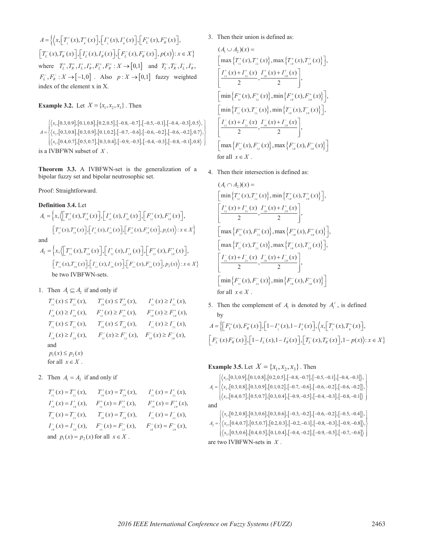$A = \left\{ \left\langle x, \left[ T_{\iota}^{+}(x) , T_{\kappa}^{+}(x) \right], \left[ I_{\iota}^{+}(x) , I_{\kappa}^{+}(x) \right], \left[ F_{L}^{+}(x) , F_{R}^{+}(x) \right], \right\}$  $\left[T_L^-(x), T_R^-(x)\right], \left[T_L^-(x), I_R^-(x)\right], \left[F_L^-(x), F_R^-(x)\right], p(x) \rangle; x \in X$ where  $T_L^+, T_R^+, I_L^+, I_R^+, F_L^+, F_R^+ : X \to [0,1]$  and  $T_L^-, T_R^-, I_L^-, I_R^ F_L^-, F_R^- : X \to [-1,0]$  . Also  $p : X \to [0,1]$  fuzzy weighted index of the element x in X.

**Example 3.2.** Let  $X = \{x_1, x_2, x_3\}$ . Then

$$
A = \begin{cases} \langle x_1, [0.3, 0.9], [0.1, 0.8], [0.2, 0.5], [-0.8, -0.7], [-0.5, -0.1], [-0.4, -0.3], 0.5 \rangle, \\ \langle x_2, [0.3, 0.8], [0.3, 0.9], [0.1, 0.2], [-0.7, -0.6], [-0.6, -0.2], [-0.6, -0.2], 0.7 \rangle, \\ \langle x_3, [0.4, 0.7], [0.5, 0.7], [0.3, 0.4], [-0.9, -0.5], [-0.4, -0.3], [-0.8, -0.1], 0.8 \rangle \end{cases}
$$
is a IVBFWN subset of X.

**Theorem 3.3.** A IVBFWN-set is the generalization of a bipolar fuzzy set and bipolar neutrosophic set.

Proof: Straightforward.

**Definition 3.4.** Let  $A_1 = \left\{ x, \left\langle \left[ T^+_{\mu}(x), T^+_{\mu}(x) \right], \left[ I^+_{\mu}(x), I^+_{\mu}(x) \right], \left[ F^+_{\mu}(x), F^+_{\mu}(x) \right], \right\}$  $\left[T_{_{1L}}^{+}(x), T_{_{1R}}^{+}(x)\right], \left[T_{_{1L}}^{+}(x), I_{_{1R}}^{+}(x)\right], \left[F_{_{1L}}^{+}(x), F_{_{1R}}^{+}(x)\right], p_{1}(x) \rangle: x \in X$ and  $A_2 = \left\{ x, \sqrt{\left(T_{\frac{1}{2}}^+(x), T_{\frac{1}{2}}^+(x)\right)}, \left[T_{\frac{1}{2}}^+(x), T_{\frac{1}{2}}^+(x), F_{\frac{1}{2}}^+(x), F_{\frac{1}{2}}^+(x)\right], \left[T_{\frac{1}{2}}^+(x), F_{\frac{1}{2}}^+(x), F_{\frac{1}{2}}^+(x)\right],\right\}$  $\left[T_{\alpha}^{-}(x), T_{\alpha}^{-}(x)\right], \left[T_{\alpha}^{-}(x), T_{\alpha}^{-}(x)\right], \left[F_{\alpha}^{-}(x), F_{\alpha}^{-}(x)\right], p_{2}(x) \geq x \in X\}$ be two IVBFWN-sets.

1. Then  $A_1 \subseteq A_2$  if and only if

$$
T_{i_{L}}^{+}(x) \leq T_{i_{L}}^{+}(x), \qquad T_{i_{R}}^{+}(x) \leq T_{i_{R}}^{+}(x), \qquad I_{i_{L}}^{+}(x) \geq I_{i_{L}}^{+}(x),
$$
  
\n
$$
T_{i_{R}}^{+}(x) \geq I_{i_{R}}^{+}(x), \qquad F_{i_{L}}^{+}(x) \geq F_{i_{L}}^{+}(x), \qquad F_{i_{R}}^{+}(x) \geq F_{i_{R}}^{+}(x),
$$
  
\n
$$
T_{i_{L}}^{-}(x) \leq T_{i_{L}}^{-}(x), \qquad T_{i_{R}}^{-}(x) \leq T_{i_{R}}^{-}(x), \qquad T_{i_{L}}^{-}(x) \geq I_{i_{L}}^{-}(x),
$$
  
\n
$$
T_{i_{R}}^{-}(x) \geq I_{i_{R}}^{-}(x), \qquad F_{i_{L}}^{-}(x) \geq F_{i_{L}}^{-}(x), \qquad F_{i_{R}}^{-}(x) \geq F_{i_{R}}^{-}(x),
$$
  
\nand  
\n
$$
p_{1}(x) \leq p_{2}(x)
$$
  
\nfor all  $x \in X$ .

2. Then  $A_1 = A_2$  if and only if

$$
T_{i_L}^+(x) = T_{i_L}^+(x), \t T_{i_R}^+(x) = T_{i_R}^+(x), \t I_{i_L}^+(x) = I_{i_L}^+(x),
$$
  
\n
$$
T_{i_R}^+(x) = I_{i_R}^+(x), \t F_{i_L}^+(x) = F_{i_L}^+(x), \t F_{i_R}^+(x) = F_{i_R}^+(x),
$$
  
\n
$$
T_{i_L}^-(x) = T_{i_L}^-(x), \t T_{i_R}^-(x) = T_{i_R}^-(x), \t I_{i_L}^-(x) = I_{i_L}^-(x),
$$
  
\n
$$
I_{i_R}^-(x) = I_{i_R}^-(x), \t F_{i_L}^-(x) = F_{i_L}^-(x), \t F_{i_R}^-(x) = F_{i_R}^-(x),
$$
  
\nand 
$$
p_1(x) = p_2(x)
$$
 for all  $x \in X$ .

## 3. Then their union is defined as:

$$
(A_1 \cup A_2)(x) =
$$
\n
$$
\left[\max \left\{T_{1L}^+(x), T_{2L}^+(x)\right\}, \max \left\{T_{1R}^+(x), T_{2R}^+(x)\right\}\right],
$$
\n
$$
\left[\frac{I_{1L}^+(x) + I_{2L}^+(x)}{2}, \frac{I_{1R}^+(x) + I_{2R}^+(x)}{2}\right],
$$
\n
$$
\left[\min \left\{F_{1L}^+(x), F_{2L}^+(x)\right\}, \min \left\{F_{1R}^+(x), F_{2R}^+(x)\right\}\right],
$$
\n
$$
\left[\min \left\{T_{1L}^-(x), T_{2L}^-(x)\right\}, \min \left\{T_{1R}^-(x), T_{2R}^-(x)\right\}\right],
$$
\n
$$
\left[\frac{I_{1L}^-(x) + I_{2L}^-(x)}{2}, \frac{I_{1R}^-(x) + I_{2R}^-(x)}{2}\right],
$$
\n
$$
\left[\max \left\{F_{1L}^-(x), F_{2L}^-(x)\right\}, \max \left\{F_{1R}^-(x), F_{2R}^-(x)\right\}\right]
$$
\nfor all  $x \in X$ .

4. Then their intersection is defined as:

$$
(A_1 \cap A_2)(x) =
$$
\n
$$
\left[\min \left\{ T_{1L}^+(x), T_{2L}^+(x) \right\}, \min \left\{ T_{1R}^+(x), T_{2R}^+(x) \right\} \right],
$$
\n
$$
\left[ \frac{I_{1L}^+(x) + I_{2L}^+(x)}{2}, \frac{I_{1R}^+(x) + I_{2R}^+(x)}{2} \right],
$$
\n
$$
\left[\max \left\{ F_{1L}^+(x), F_{2L}^+(x) \right\}, \max \left\{ F_{1R}^+(x), F_{2R}^+(x) \right\} \right],
$$
\n
$$
\left[\max \left\{ T_{1L}^-(x), T_{2L}^-(x) \right\}, \max \left\{ T_{1R}^-(x), T_{2R}^-(x) \right\} \right],
$$
\n
$$
\left[ \frac{I_{1L}^-(x) + I_{2L}^-(x)}{2}, \frac{I_{1R}^-(x) + I_{2R}^-(x)}{2}, \frac{I_{2R}^-(x) + I_{2R}^-(x)}{2}, \frac{I_{2R}^-(x) + I_{2R}^-(x)}{2}, \frac{I_{2R}^-(x) + I_{2R}^-(x)}{2}, \frac{I_{2R}^-(x) + I_{2R}^-(x)}{2}, \frac{I_{2R}^-(x) + I_{2R}^-(x)}{2}, \frac{I_{2R}^-(x) + I_{2R}^-(x)}{2}, \frac{I_{2R}^-(x) + I_{2R}^-(x)}{2}, \frac{I_{2R}^-(x) + I_{2R}^-(x)}{2}, \frac{I_{2R}^-(x) + I_{2R}^-(x)}{2}, \frac{I_{2R}^-(x) + I_{2R}^-(x)}{2}, \frac{I_{2R}^-(x) + I_{2R}^-(x)}{2}, \frac{I_{2R}^-(x) + I_{2R}^-(x)}{2}, \frac{I_{2R}^-(x) + I_{2R}^-(x)}{2}, \frac{I_{2R}^-(x) + I_{2R}^-(x)}{2}, \frac{I_{2R}^-(x) + I_{2R}^-(x)}{2}, \frac{I_{2R}^-(x) + I_{2R}^-(x)}{2}, \frac{I_{2R}^-(
$$

5. Then the complement of  $A_1$  is denoted by  $A_1^c$ , is defined by

$$
A = \left\{ \left[ F_L^+(x), F_R^+(x) \right], \left[ 1 - I_L^+(x), 1 - I_R^+(x) \right], \left\langle x, \left[ T_L^+(x), T_R^+(x) \right], \right\}
$$
  

$$
\left[ F_L^-(x) F_R^-(x) \right], \left[ 1 - I_L^-(x), 1 - I_R^-(x) \right], \left[ T_L^-(x), T_R^-(x) \right], 1 - p(x) \rangle; x \in X \right\}
$$

**Example 3.5.** Let  $X = \{x_1, x_2, x_3\}$ . Then

$$
A_{i} = \begin{cases} \langle x_{i}, [0.3, 0.9], [0.1, 0.8], [0.2, 0.5], [-0.8, -0.7], [-0.5, -0.1], [-0.4, -0.3] \rangle, \\ \langle x_{2}, [0.3, 0.8], [0.3, 0.9], [0.1, 0.2], [-0.7, -0.6], [-0.6, -0.2], [-0.6, -0.2] \rangle, \\ \langle x_{3}, [0.4, 0.7], [0.5, 0.7], [0.3, 0.4], [-0.9, -0.5], [-0.4, -0.3], [-0.8, -0.1] \rangle \end{cases}
$$
  
and  

$$
A_{2} = \begin{cases} \langle x_{i}, [0.2, 0.8], [0.3, 0.6], [0.3, 0.6], [-0.3, -0.2], [-0.6, -0.2], [-0.5, -0.4] \rangle, \\ \langle x_{3}, [0.4, 0.7], [0.5, 0.7], [0.2, 0.3], [-0.2, -0.1], [-0.8, -0.3], [-0.9, -0.8] \rangle, \\ \langle x_{3}, [0.5, 0.6], [0.4, 0.5], [0.1, 0.4], [-0.4, -0.2], [-0.9, -0.5], [-0.7, -0.6] \rangle \end{cases}
$$
  
are two IVBFWN-sets in X.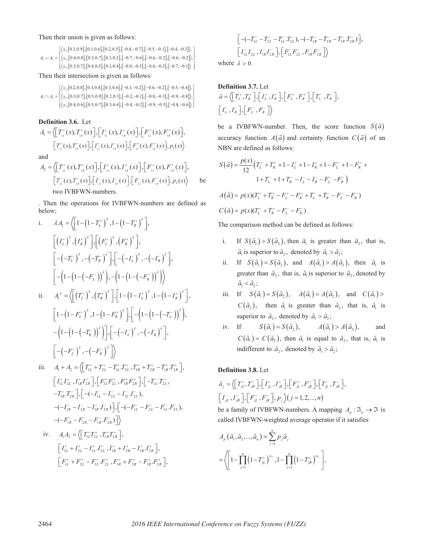Then their union is given as follows:

$$
A_{i} \cup A_{2} = \begin{cases} \langle x_{1}, [0.3, 0.9], [0.1, 0.6], [0.2, 0.5], [-0.8, -0.7], [-0.5, -0.1], [-0.4, -0.3] \rangle, \\ \langle x_{2}, [0.4, 0.8], [0.3, 0.7], [0.1, 0.2], [-0.7, -0.6], [-0.6, -0.2], [-0.6, -0.2] \rangle, \\ \langle x_{3}, [0.5, 0.7], [0.4, 0.5], [0.1, 0.4], [-0.9, -0.5], [-0.4, -0.3], [-0.7, -0.1] \rangle \end{cases}
$$

Then their intersection is given as follows:

$$
A_{\rm I} \cap A_{\rm 2} = \begin{cases} \left\langle x_{\rm I}, [0.2, 0.8], [0.3, 0.8], [0.3, 0.6], [-0.3, -0.2], [-0.6, -0.2], [-0.5, -0.4] \right\rangle, \\ \left\langle x_{\rm 2}, [0.3, 0.7], [0.5, 0.9], [0.2, 0.3], [-0.2, -0.1], [-0.8, -0.3], [-0.9, -0.8] \right\rangle, \\ \left\langle x_{\rm 3}, [0.4, 0.6], [0.5, 0.7], [0.3, 0.4], [-0.4, -0.2], [-0.9, -0.5], [-0.8, -0.6] \right\rangle \end{cases}
$$

**Definition 3.6.** Let  
\n
$$
A_{1} = \left\langle \left[ T_{1L}^{+}(x), T_{1R}^{+}(x) \right], \left[ I_{1L}^{+}(x), I_{1R}^{+}(x) \right], \left[ F_{1L}^{+}(x), F_{1R}^{+}(x) \right], \left[ T_{1L}^{+}(x), T_{1R}^{+}(x) \right], \left[ I_{1L}^{+}(x), I_{1R}^{+}(x) \right], P_{1}(x) \right\rangle
$$
\nand  
\n
$$
A_{2} = \left\langle \left[ T_{2L}^{+}(x), T_{2R}^{+}(x) \right], \left[ I_{2L}^{+}(x), I_{2R}^{+}(x) \right], \left[ F_{2L}^{+}(x), F_{2R}^{+}(x) \right], \left[ T_{2L}^{-}(x), T_{2R}^{-}(x) \right], \left[ I_{2L}^{-}(x), I_{2R}^{-}(x) \right], P_{2}(x) \right\rangle
$$
\nbe

### two IVBFWN-numbers.

. Then the operations for IVBFWN-numbers are defined as below;

i. 
$$
\lambda A_1 = \left\langle \left[ 1 - \left( 1 - T_L^+ \right)^{\lambda}, 1 - \left( 1 - T_R^+ \right)^{\lambda} \right],
$$
  
\n
$$
\left[ \left( I_L^+ \right)^{\lambda}, \left( I_R^+ \right)^{\lambda} \right], \left[ \left( F_L^+ \right)^{\lambda}, \left( F_R^+ \right)^{\lambda} \right],
$$
\n
$$
\left[ - \left( -T_L^- \right)^{\lambda}, - \left( -T_R^- \right)^{\lambda} \right], \left[ - \left( -I_L^- \right)^{\lambda}, - \left( -I_R^- \right)^{\lambda} \right],
$$
\n
$$
\left[ - \left( 1 - \left( 1 - (-F_L^-) \right)^{\lambda} \right), - \left( 1 - \left( 1 - (-F_R^-) \right)^{\lambda} \right) \right\rangle
$$
\n
$$
\vdots.
$$
\n
$$
A_1^{\lambda} = \left\langle \left[ \left( T_L^+ \right)^{\lambda}, \left( T_R^+ \right)^{\lambda} \right], \left[ 1 - \left( 1 - I_L^+ \right)^{\lambda}, 1 - \left( 1 - I_R^+ \right)^{\lambda} \right],
$$
\n
$$
\left[ 1 - \left( 1 - F_L^+ \right)^{\lambda}, 1 - \left( 1 - F_R^+ \right)^{\lambda} \right], \left[ - \left( 1 - \left( 1 - (-T_L^-) \right)^{\lambda} \right), - \left( 1 - \left( 1 - (-T_R^-) \right)^{\lambda} \right] \right],
$$
\n
$$
\left[ - \left( -F_L^- \right)^{\lambda}, - \left( -F_R^- \right)^{\lambda} \right] \right\rangle
$$
\n
$$
\vdots.
$$
\n
$$
A_1 + A_2 = \left\langle \left[ T_{1L}^+ + T_{2L}^+ - T_{1L}^+ T_{2L}^+ , T_{1R}^+ + T_{2R}^+ - T_{1R}^+ T_{2R}^+ \right],
$$
\n
$$
\left[ I_{1L}^+ I_{2L}^+, I_{1R}^+ I_{2R}^+ \right], \left[ F_{1L}^+ F_{2L}^+, F_{1R}^+ F_{2R}^+ \right], \left[ -T_{1L}^- T_{2L}^- , \left( -T_R^- \right)^+ \right]
$$

$$
-T_{1R}^{-}T_{2R}^{-} \left] \left[ -(-I_{1L}^{-} - I_{2L}^{-} - I_{1L}^{-} I_{2L}^{-}), -(-I_{1R}^{-} - I_{2R}^{-} - I_{1R}^{-} I_{2R}^{-}) \right] \right] \left[ -(-F_{1L}^{-} - F_{2L}^{-} - F_{1L}^{-} F_{2L}^{-}), -(-F_{1R}^{-} - F_{2R}^{-} - F_{1R}^{-} F_{2R}^{-}) \right] \right\rangle
$$

iv. 
$$
A_1 A_2 = \left\langle \begin{bmatrix} T_{1L}^+ T_{2L}^+, T_{1R}^+ T_{2R}^+ \end{bmatrix} \right\rangle
$$
,  
\n
$$
\begin{bmatrix} I_{1L}^+ + I_{2L}^+ - I_{1L}^+ I_{2L}^+, I_{1R}^+ + I_{2R}^+ - I_{1R}^+ I_{2R}^+ \end{bmatrix},
$$
\n
$$
\begin{bmatrix} F_{1L}^+ + F_{2L}^+ - F_{1L}^+ F_{2L}^+, F_{1R}^+ + F_{2R}^+ - F_{1R}^+ F_{2R}^+ \end{bmatrix},
$$

$$
\begin{aligned}\n&\left[ -(-T_{1L}^- - T_{2L}^- - T_{1L}^- T_{2L}^-), -(-T_{1R}^- - T_{2R}^- - T_{1R}^- T_{2R}^-)\right], \\
&\left[I_{1L}^- I_{2L}^-, I_{1R}^- I_{2R}^-\right], \left[F_{1L}^+ F_{2L}^-, F_{1R}^- F_{2R}^-\right] \rangle\n\end{aligned}
$$

where  $\lambda > 0$ .

**Definition 3.7.** Let  
\n
$$
\tilde{a} = \left\langle \begin{bmatrix} T_L^+, T_R^+ \end{bmatrix}, \begin{bmatrix} I_L^+, I_R^+ \end{bmatrix}, \begin{bmatrix} F_L^+, F_R^+ \end{bmatrix}, \begin{bmatrix} T_L^-, T_R^- \end{bmatrix}, \begin{bmatrix} I_L^-, I_R^- \end{bmatrix}, \begin{bmatrix} F_L^-, F_R^- \end{bmatrix} \right\rangle
$$

be a IVBFWN-number. Then, the score function  $S(\tilde{a})$ accuracy function  $A(\tilde{a})$  and certainty function  $C(\tilde{a})$  of an NBN are defined as follows:

$$
S(\tilde{a}) = \frac{p(x)}{12} \Big( T_L^+ + T_R^+ + 1 - I_L^+ + 1 - I_R^+ + 1 - F_L^+ + 1 - F_R^+ + 1 + T_L^- + 1 + T_R^- - I_L^- - I_R^- - F_L^- - F_R^- \Big)
$$
  

$$
A(\tilde{a}) = p(x)(T_L^+ + T_R^+ - F_L^+ - F_R^+ + T_L^- + T_R^- - F_L^- - F_R^-)
$$
  

$$
C(\tilde{a}) = p(x)(T_L^+ + T_R^+ - F_L^- - F_R^-)
$$

The comparison method can be defined as follows:

- i. If  $S(\tilde{a}_1) > S(\tilde{a}_2)$ , then  $\tilde{a}_1$  is greater than  $\tilde{a}_2$ , that is,  $\tilde{a}_1$  is superior to  $\tilde{a}_2$ , denoted by  $\tilde{a}_1 > \tilde{a}_2$ ;
- ii. If  $S(\tilde{a}_1) = S(\tilde{a}_2)$ , and  $A(\tilde{a}_1) > A(\tilde{a}_2)$ , then  $\tilde{a}_1$  is greater than  $\tilde{a}_2$ , that is,  $\tilde{a}_1$  is superior to  $\tilde{a}_2$ , denoted by  $\tilde{a}_1 < \tilde{a}_2$ ;
- iii. If  $S(\tilde{a}_1) = S(\tilde{a}_2)$ ,  $A(\tilde{a}_1) = A(\tilde{a}_2)$ , and  $C(\tilde{a}_1) >$  $C(\tilde{a}_2)$ , then  $\tilde{a}_1$  is greater than  $\tilde{a}_2$ , that is,  $\tilde{a}_1$  is superior to  $\tilde{a}_2$ , denoted by  $\tilde{a}_1 > \tilde{a}_2$ ;
- iv. If  $S(\tilde{a}_1) = S(\tilde{a}_2)$ ,  $A(\tilde{a}_1) > A(\tilde{a}_2)$ , and  $C(\tilde{a}_{1}) = C(\tilde{a}_{2})$ , then  $\tilde{a}_{1}$  is equal to  $\tilde{a}_{2}$ , that is,  $\tilde{a}_{1}$  is indifferent to  $\tilde{a}_2$ , denoted by  $\tilde{a}_1 > \tilde{a}_2$ ;

## **Definition 3.8.** Let

$$
\tilde{a}_{j} = \left\langle \left[ T^{+}_{jL}, T^{+}_{jR} \right], \left[ I^{+}_{jL}, I^{+}_{jR} \right], \left[ F^{+}_{jL}, F^{+}_{jR} \right], \left[ T^{-}_{jL}, T^{-}_{jR} \right],
$$
\n
$$
\left[ I^{-}_{jL}, I^{-}_{jR} \right], \left[ F^{-}_{jL}, F^{-}_{jR} \right], p_{j} \right\rangle (j = 1, 2, ..., n)
$$

be a family of IVBFWN-numbers. A mapping  $A_p : \mathfrak{I}_n \to \mathfrak{I}$  is called IVBFWN-weighted average operator if it satisfies

$$
A_{p}(\tilde{a}_{1}, \tilde{a}_{2},..., \tilde{a}_{n}) = \sum_{j=1}^{n} p_{j} \tilde{a}_{j}
$$
  
=  $\left\langle \left[1 - \prod_{j=1}^{n} (1 - T_{jL}^{+})^{w_{j}}, 1 - \prod_{j=1}^{n} (1 - T_{jR}^{+})^{w_{j}}\right], \right.$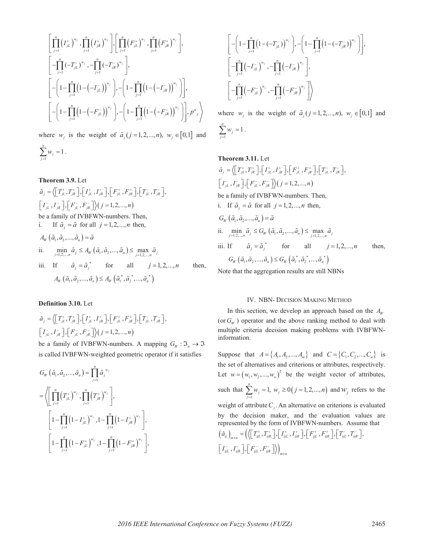$$
\left[\prod_{j=1}^{n} (I_{jL}^{+})^{w_{j}}, \prod_{j=1}^{n} (I_{jR}^{+})^{w_{j}}\right], \left[\prod_{j=1}^{n} (F_{jL}^{+})^{w_{j}}, \prod_{j=1}^{n} (F_{jR}^{+})^{w_{j}}\right],
$$
\n
$$
\left[-\prod_{j=1}^{n} (-T_{jL}^{-})^{w_{j}}, -\prod_{j=1}^{n} (-T_{jR}^{-})^{w_{j}}\right],
$$
\n
$$
\left[-\left(1-\prod_{j=1}^{n} \left(1-(-I_{jL}^{-})\right)^{w_{j}}\right), -\left(1-\prod_{j=1}^{n} \left(1-(-I_{jR}^{-})\right)^{w_{j}}\right)\right],
$$
\n
$$
\left[-\left(1-\prod_{j=1}^{n} \left(1-(-F_{jL}^{-})\right)^{w_{j}}\right), -\left(1-\prod_{j=1}^{n} \left(1-(-F_{jR}^{-})\right)^{w_{j}}\right)\right], p^{n}, \right\}
$$

where  $w_j$  is the weight of  $\tilde{a}_j$  ( $j = 1, 2, ..., n$ ),  $w_j \in [0,1]$  and

$$
\sum_{j=1}^n w_j = 1.
$$

**Theorem 3.9.** Let  $\tilde{a}_{j} = \left\langle \left[ T^{+}_{iL}, T^{+}_{iR} \right], \left[ I^{+}_{iL}, I^{+}_{iR} \right], \left[ F^{+}_{iL}, F^{+}_{iR} \right], \left[ T^{-}_{iL}, T^{-}_{iR} \right],$  $\left[I_{\mu}^{-}, I_{\mu}^{-}\right], \left[F_{\mu}^{-}, F_{\mu}^{-}\right] \rangle (j = 1, 2, ..., n)$ be a family of IVBFWN-numbers. Then, i. If  $\tilde{a}_i = \tilde{a}$  for all  $j = 1, 2, \dots, n$  then,  $A_w(\tilde{a}_1, \tilde{a}_2, ..., \tilde{a}_n) = \tilde{a}$ ii.  $\min_{j=1,2,...,n} \tilde{a}_j \leq A_W \left( \tilde{a}_1, \tilde{a}_2, ..., \tilde{a}_n \right) \leq \max_{j=1,2,...,n} \tilde{a}_j$ iii. If  $\tilde{a}_i = \tilde{a}_i^*$  for all  $j = 1, 2, ..., n$  then,  $A_W (\tilde{a}_1, \tilde{a}_2, ..., \tilde{a}_n) \leq A_W (\tilde{a}_1^*, \tilde{a}_2^*, ..., \tilde{a}_n^*)$ 

#### **Definition 3.10.** Let

$$
\tilde{a}_{j} = \left\langle \begin{bmatrix} T_{jL}^{+}, T_{jR}^{+} \end{bmatrix}, \begin{bmatrix} I_{jL}^{+}, I_{jR}^{+} \end{bmatrix}, \begin{bmatrix} F_{jL}^{+}, F_{jR}^{+} \end{bmatrix}, \begin{bmatrix} T_{jL}^{-}, T_{jR}^{-} \end{bmatrix}, \begin{bmatrix} I_{jL}^{-}, I_{jR}^{-} \end{bmatrix}, \begin{bmatrix} I_{jL}^{-}, I_{jR}^{-} \end{bmatrix}, \begin{bmatrix} F_{jL}^{-}, F_{jR}^{-} \end{bmatrix} \right\rangle (j = 1, 2, ..., n)
$$
\nbe a family of IVBFWN-numbers. A mapping  $G_W : \mathfrak{I}_n \to \mathfrak{I}$ 

is called IVBFWN-weighted geometric operator if it satisfies

$$
G_{W} (\tilde{a}_{1}, \tilde{a}_{2},..., \tilde{a}_{n}) = \prod_{j=1}^{n} \tilde{a}_{j}^{w_{j}}
$$
  
\n=
$$
\left\langle \left[ \prod_{j=1}^{n} (T_{jL}^{+})^{w_{j}}, \prod_{j=1}^{n} (T_{jR}^{+})^{w_{j}} \right], \left[ 1 - \prod_{j=1}^{n} (1 - I_{jL}^{+})^{w_{j}}, 1 - \prod_{j=1}^{n} (1 - I_{jR}^{+})^{w_{j}} \right],
$$
  
\n
$$
\left[ 1 - \prod_{j=1}^{n} (1 - F_{jL}^{+})^{w_{j}}, 1 - \prod_{j=1}^{n} (1 - F_{jR}^{+})^{w_{j}} \right],
$$

$$
\left[ - \left( 1 - \prod_{j=1}^{n} \left( 1 - (-T_{jL}^{-}) \right)^{w_j} \right), - \left( 1 - \prod_{j=1}^{n} \left( 1 - (-T_{jR}^{-}) \right)^{w_j} \right) \right],
$$
\n
$$
\left[ -\prod_{j=1}^{n} \left( -T_{jL}^{-} \right)^{w_j}, -\prod_{j=1}^{n} \left( -T_{jR}^{-} \right)^{w_j} \right],
$$
\n
$$
\left[ -\prod_{j=1}^{n} \left( -F_{jL}^{-} \right)^{w_j}, -\prod_{j=1}^{n} \left( -F_{jR}^{-} \right)^{w_j} \right] \right\rangle
$$

where  $w_i$  is the weight of  $\tilde{a}_i (j = 1, 2, \dots, n)$ ,  $w_i \in [0,1]$  and

$$
\sum_{j=1}^n w_j = 1.
$$

## **Theorem 3.11.** Let

$$
\tilde{a}_{j} = \left\langle \left[ T_{jL}^{+}, T_{jR}^{+} \right], \left[ I_{jL}^{+}, I_{jR}^{+} \right], \left[ F_{jL}^{+}, F_{jR}^{+} \right], \left[ T_{jL}^{-}, T_{jR}^{-} \right],
$$
\n
$$
\left[ I_{jL}^{-}, I_{jR}^{-} \right], \left[ F_{jL}^{-}, F_{jR}^{-} \right] \right\rangle (j = 1, 2, ..., n)
$$
\nbe a family of IVBFWN-numbers. Then,\ni. If  $\tilde{a}_{j} = \tilde{a}$  for all  $j = 1, 2, ..., n$  then,\n
$$
G_{W}(\tilde{a}_{1}, \tilde{a}_{2}, ..., \tilde{a}_{n}) = \tilde{a}
$$
\nii. 
$$
\min_{j=1,2,...,n} \tilde{a}_{j} \leq G_{W}(\tilde{a}_{1}, \tilde{a}_{2}, ..., \tilde{a}_{n}) \leq \max_{j=1,2,...,n} \tilde{a}_{j}
$$
\niii. If  $\tilde{a}_{j} = \tilde{a}_{j}^{*}$  for all  $j = 1, 2, ..., n$  then,\n
$$
G_{W}(\tilde{a}_{1}, \tilde{a}_{2}, ..., \tilde{a}_{n}) \leq G_{W}(\tilde{a}_{1}^{*}, \tilde{a}_{2}^{*}, ..., \tilde{a}_{n}^{*})
$$

Note that the aggregation results are still NBNs

## IV. NBN- DECISION MAKING METHOD

In this section, we develop an approach based on the  $A_w$ (or  $G_W$ ) operator and the above ranking method to deal with multiple criteria decision making problems with IVBFWNinformation.

Suppose that  $A = \{A_1, A_2, ..., A_m\}$  and  $C = \{C_1, C_2, ..., C_n\}$  is the set of alternatives and criterions or attributes, respectively. Let  $w = (w_1, w_2, ..., w_n)^T$  be the weight vector of attributes, such that  $\sum_{j=1}^N w_j = 1$ , *n*  $\sum_{j=1}^{\infty}$ <sup>*w*</sup> *w*  $\sum_{j=1}^{n} w_j = 1, w_j \ge 0 (j = 1, 2, ..., n)$  and  $w_j$  refers to the weight of attribute  $C_i$ . An alternative on criterions is evaluated by the decision maker, and the evaluation values are represented by the form of IVBFWN-numbers. Assume that  $\left(\widetilde{a}_{_{ij}}\right)_{_{m\times n}}=\Big(\Big\langle\Big[\,T_{_{ijL}}^+,\,T_{_{ijR}}^+\,\Big],\Big[\,I_{_{ijL}}^+ \,,\,I_{_{ijR}}^+\,\Big],\Big[\,F_{_{ijL}}^+ \,,\,F_{_{ijR}}^+\,\Big],\Big[\,T_{_{ijL}}^- \,,\,T_{_{ijR}}^-\,\Big],$  $\left[I_{i j L}^-, I_{i j R}^-\right],\left[F_{i j L}^-,F_{i j R}^-\right]\rangle\right)_{m\times n}$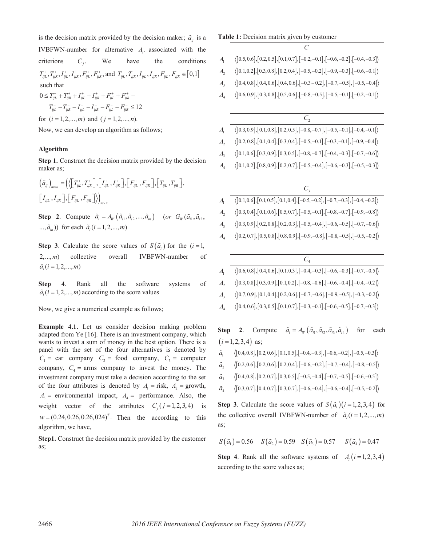is the decision matrix provided by the decision maker;  $\tilde{a}_{ii}$  is a IVBFWN-number for alternative  $A_i$  associated with the criterions  $C_i$ . We have the conditions  $T_{ijL}^+$ ,  $T_{ijR}^+$ ,  $I_{ijL}^+$ ,  $I_{ijR}^+$ ,  $F_{ijL}^+$ ,  $F_{ijR}^+$ , and  $T_{ijL}^-$ ,  $T_{ijR}^-$ ,  $I_{ijL}^-$ ,  $I_{ijR}^-$ ,  $F_{ijL}^-$ ,  $F_{ijR}^ \in [0,1]$  such that  $0 \leq T_{iiL}^+ + T_{iiR}^+ + I_{iiL}^+ + I_{iiR}^+ + F_{iiL}^+ + F_{iiR}^+$  $T_{iiL}^- - T_{iiR}^- - I_{iiL}^- - I_{iiR}^- - F_{iiL}^- - F_{iiR}^- \leq 12$ 

for  $(i = 1, 2, \ldots, m)$  and  $(j = 1, 2, \ldots, n)$ .

Now, we can develop an algorithm as follows;

## **Algorithm**

**Step 1.** Construct the decision matrix provided by the decision maker as;

$$
\left(\tilde{a}_{ij}\right)_{m\times n} = \left(\left\langle \begin{bmatrix} T_{ijL}^+, T_{ijk}^+ \end{bmatrix}, \begin{bmatrix} I_{ijL}^+, I_{ijk}^+ \end{bmatrix}, \begin{bmatrix} F_{ijL}^+, F_{ijk}^+ \end{bmatrix}, \begin{bmatrix} T_{ijL}^-, T_{ijk}^- \end{bmatrix}, \begin{bmatrix} I_{ijL}^-, I_{ijk}^- \end{bmatrix}, \begin{bmatrix} F_{ijL}^-, F_{ijk}^- \end{bmatrix}\right\rangle_{m\times n}
$$

**Step 2.** Compute  $\tilde{a}_i = A_w(\tilde{a}_i, \tilde{a}_i, \ldots, \tilde{a}_i)$  (or  $G_w(\tilde{a}_i, \tilde{a}_i, \ldots, \tilde{a}_i)$ ...,  $\tilde{a}_{in}$ )) for each  $\tilde{a}_{i}$  (*i* = 1, 2, ..., *m*)

**Step 3.** Calculate the score values of  $S(\tilde{a}_i)$  for the  $(i=1,$ 2,...,*m*) collective overall IVBFWN-number of  $\tilde{a}_i$  (*i* = 1, 2, ..., *m*)

**Step 4**. Rank all the software systems of  $\tilde{a}_i$  ( $i = 1, 2, \ldots, m$ ) according to the score values

Now, we give a numerical example as follows;

**Example 4.1.** Let us consider decision making problem adapted from Ye [16]. There is an investment company, which wants to invest a sum of money in the best option. There is a panel with the set of the four alternatives is denoted by  $C_1$  = car company  $C_2$  = food company,  $C_3$  = computer company,  $C_4$  = arms company to invest the money. The investment company must take a decision according to the set of the four attributes is denoted by  $A_1 =$  risk,  $A_2 =$  growth,  $A_3$  = environmental impact,  $A_4$  = performance. Also, the weight vector of the attributes  $C_i$  ( $j = 1,2,3,4$ ) is  $w = (0.24, 0.26, 0.26, 0.24)^T$ . Then the according to this algorithm, we have,

**Step1.** Construct the decision matrix provided by the customer as;

#### **Table 1:** Decision matrix given by customer

| $\langle [0.5, 0.6], [0.2, 0.5], [0.1, 0.7], [-0.2, -0.1], [-0.6, -0.2], [-0.4, -0.3] \rangle$ |
|------------------------------------------------------------------------------------------------|
| $\langle [0.1, 0.2], [0.3, 0.8], [0.2, 0.4], [-0.5, -0.2], [-0.9, -0.3], [-0.6, -0.1] \rangle$ |
| $\langle [0.4, 0.8], [0.4, 0.6], [0.4, 0.6], [-0.3 - 0.2], [-0.7, -0.5], [-0.5, -0.4] \rangle$ |
| $\langle [0.6, 0.9], [0.3, 0.8], [0.5, 0.6], [-0.8, -0.5], [-0.5, -0.1], [-0.2, -0.1] \rangle$ |
|                                                                                                |
| $C_{2}$                                                                                        |
| $\langle [0.3, 0.9], [0.1, 0.8], [0.2, 0.5], [-0.8, -0.7], [-0.5, -0.1], [-0.4, -0.1] \rangle$ |
| $\langle [0.2, 0.8], [0.1, 0.4], [0.3, 0.4], [-0.5, -0.1], [-0.3, -0.1], [-0.9, -0.4] \rangle$ |
| $\langle [0.1, 0.6], [0.3, 0.9], [0.3, 0.5], [-0.8, -0.7], [-0.4, -0.3], [-0.7, -0.6] \rangle$ |
| $\langle [0.1, 0.2], [0.8, 0.9], [0.2, 0.7], [-0.5, -0.4], [-0.6, -0.3], [-0.5, -0.3] \rangle$ |
|                                                                                                |
| $C_{\mathfrak{p}}$                                                                             |
| $\langle [0.1, 0.6], [0.1, 0.5], [0.1, 0.4], [-0.5, -0.2], [-0.7, -0.3], [-0.4, -0.2] \rangle$ |
| $\langle [0.3, 0.4], [0.1, 0.6], [0.5, 0.7], [-0.5, -0.1], [-0.8, -0.7], [-0.9, -0.8] \rangle$ |
| $\langle [0.3, 0.9], [0.2, 0.8], [0.2, 0.3], [-0.5, -0.4], [-0.6, -0.5], [-0.7, -0.6] \rangle$ |
| $\langle [0.2, 0.7], [0.5, 0.8], [0.8, 0.9], [-0.9, -0.8], [-0.8, -0.5], [-0.5, -0.2] \rangle$ |
|                                                                                                |
| $C_{\scriptscriptstyle 4}$                                                                     |
| $\langle \text{[0.6,0.8],[0.4,0.6],[0.1,0.3],[-0.4,-0.3],[-0.6,-0.3],[-0.7,-0.5]}\rangle$      |
| $\langle \text{[0.3,0.8],[0.3,0.9],[0.1,0.2],[-0.8,-0.6],[-0.6,-0.4],[-0.4,-0.2]}\rangle$      |
| $\langle [0.7, 0.9], [0.1, 0.4], [0.2, 0.6], [-0.7, -0.6], [-0.9, -0.5], [-0.3, -0.2] \rangle$ |
|                                                                                                |

 $A_4$   $\langle [0.4, 0.6], [0.3, 0.5], [0.1, 0.7], [-0.3, -0.1], [-0.6, -0.5], [-0.7, -0.3] \rangle$ 

**Step 2.** Compute  $\tilde{a}_i = A_w(\tilde{a}_{i1}, \tilde{a}_{i2}, \tilde{a}_{i3}, \tilde{a}_{i4})$  for each  $(i = 1, 2, 3, 4)$  as;

$$
\tilde{a}_{1} \qquad \left\langle \begin{bmatrix} 0.4, 0.8 \end{bmatrix}, \begin{bmatrix} 0.2, 0.6 \end{bmatrix}, \begin{bmatrix} 0.1, 0.5 \end{bmatrix}, \begin{bmatrix} -0.4, -0.3 \end{bmatrix}, \begin{bmatrix} -0.6, -0.2 \end{bmatrix}, \begin{bmatrix} -0.5, -0.3 \end{bmatrix} \right\rangle
$$

 $\tilde{a}$ ,  $\langle [0.2, 0.6], [0.2, 0.6], [0.2, 0.4], [-0.6, -0.2], [-0.7, -0.4], [-0.8, -0.5] \rangle$ 

- $\tilde{a}$ ,  $\langle [0.4, 0.8], [0.2, 0.7], [0.3, 0.5], [-0.5, -0.4], [-0.7, -0.5], [-0.6, -0.5] \rangle$
- $\tilde{a}_{4} \qquad \langle [0.3, 0.7], [0.4, 0.7], [0.3, 0.7], [-0.6, -0.4], [-0.6, -0.4], [-0.5, -0.2] \rangle$

**Step 3.** Calculate the score values of  $S(\tilde{a})$  (*i* = 1, 2, 3, 4) for the collective overall IVBFWN-number of  $\tilde{a}_i$  ( $i = 1, 2, ..., m$ ) as;

 $S(\tilde{a}_1) = 0.56$   $S(\tilde{a}_2) = 0.59$   $S(\tilde{a}_3) = 0.57$   $S(\tilde{a}_4) = 0.47$ 

**Step 4.** Rank all the software systems of  $A_i$   $(i = 1, 2, 3, 4)$ according to the score values as;